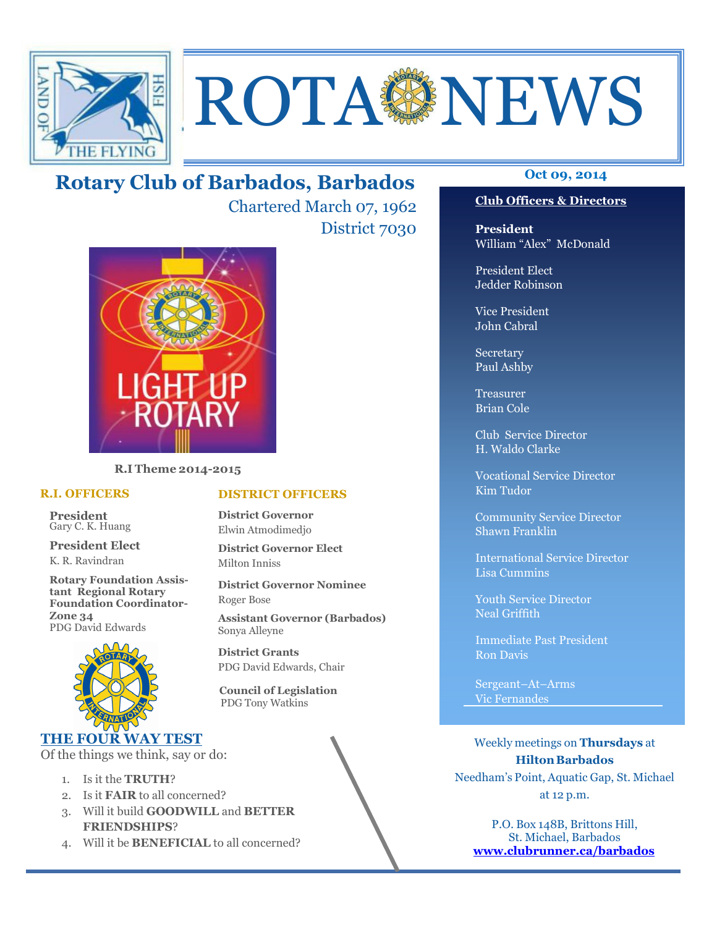

# **ROTA SENEWS**

### Rotary Club of Barbados, Barbados **Detach Oct 09, 2014**

Chartered March 07, 1962 District 7030



R.I Theme 2014-2015

#### R.I. OFFICERS

President Gary C. K. Huang

President Elect K. R. Ravindran

Rotary Foundation Assistant Regional Rotary Foundation Coordinator-Zone 34 PDG David Edwards



### THE FOUR WAY TEST

Of the things we think, say or do:

- 1. Is it the TRUTH?
- 2. Is it FAIR to all concerned?
- 3. Will it build GOODWILL and BETTER FRIENDSHIPS?
- 4. Will it be **BENEFICIAL** to all concerned?

### Club Officers & Directors

President William "Alex" McDonald

President Elect Jedder Robinson

Vice President John Cabral

Secretary Paul Ashby

Treasurer Brian Cole

Club Service Director H. Waldo Clarke

Vocational Service Director Kim Tudor

Community Service Director Shawn Franklin

International Service Director Lisa Cummins

Youth Service Director Neal Griffith

Immediate Past President Ron Davis

Sergeant–At–Arms Vic Fernandes

Weekly meetings on Thursdays at Hilton Barbados Needham's Point, Aquatic Gap, St. Michael at 12 p.m.

P.O. Box 148B, Brittons Hill, St. Michael, Barbados www.clubrunner.ca/barbados

### DISTRICT OFFICERS

District Governor Elwin Atmodimedjo

District Governor Elect Milton Inniss

District Governor Nominee Roger Bose

Assistant Governor (Barbados) Sonya Alleyne

District Grants PDG David Edwards, Chair

 Council of Legislation PDG Tony Watkins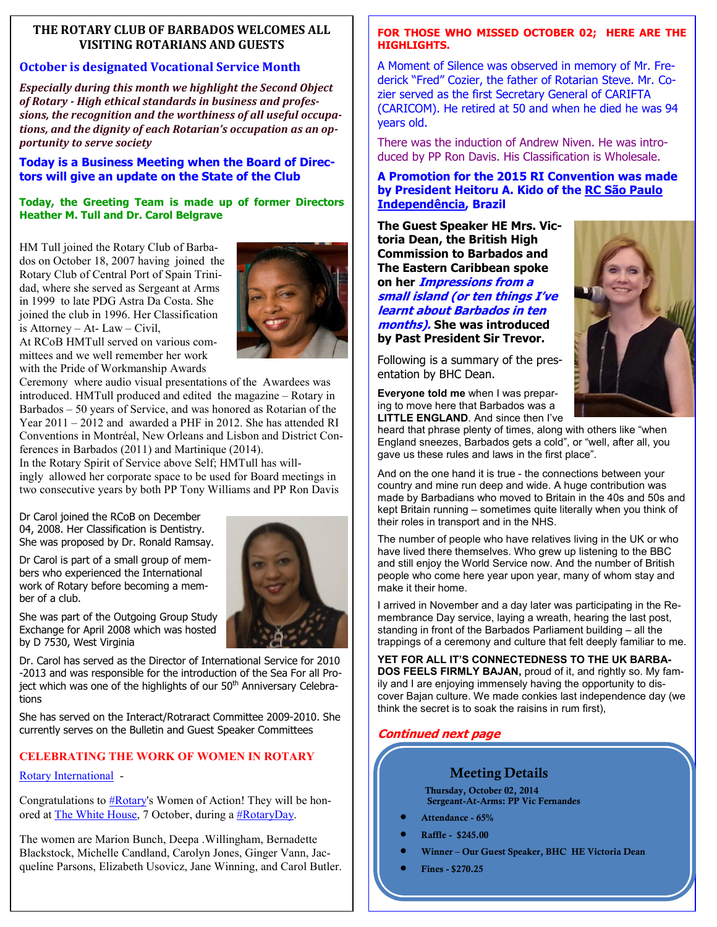### THE ROTARY CLUB OF BARBADOS WELCOMES ALL VISITING ROTARIANS AND GUESTS

### October is designated Vocational Service Month

Especially during this month we highlight the Second Object of Rotary - High ethical standards in business and professions, the recognition and the worthiness of all useful occupations, and the dignity of each Rotarian's occupation as an opportunity to serve society

### Today is a Business Meeting when the Board of Directors will give an update on the State of the Club

### Today, the Greeting Team is made up of former Directors Heather M. Tull and Dr. Carol Belgrave

HM Tull joined the Rotary Club of Barbados on October 18, 2007 having joined the Rotary Club of Central Port of Spain Trinidad, where she served as Sergeant at Arms in 1999 to late PDG Astra Da Costa. She joined the club in 1996. Her Classification is Attorney – At- Law – Civil,



At RCoB HMTull served on various committees and we well remember her work with the Pride of Workmanship Awards

Ceremony where audio visual presentations of the Awardees was introduced. HMTull produced and edited the magazine – Rotary in Barbados – 50 years of Service, and was honored as Rotarian of the Year 2011 – 2012 and awarded a PHF in 2012. She has attended RI Conventions in Montréal, New Orleans and Lisbon and District Conferences in Barbados (2011) and Martinique (2014). In the Rotary Spirit of Service above Self; HMTull has will-

ingly allowed her corporate space to be used for Board meetings in two consecutive years by both PP Tony Williams and PP Ron Davis

Dr Carol joined the RCoB on December 04, 2008. Her Classification is Dentistry. She was proposed by Dr. Ronald Ramsay.

Dr Carol is part of a small group of members who experienced the International work of Rotary before becoming a member of a club.

She was part of the Outgoing Group Study Exchange for April 2008 which was hosted

Dr. Carol has served as the Director of International Service for 2010 -2013 and was responsible for the introduction of the Sea For all Project which was one of the highlights of our 50<sup>th</sup> Anniversary Celebrations

She has served on the Interact/Rotraract Committee 2009-2010. She currently serves on the Bulletin and Guest Speaker Committees

### CELEBRATING THE WORK OF WOMEN IN ROTARY

### Rotary International -

by D 7530, West Virginia

Congratulations to  $\# Rotarv's$  Women of Action! They will be honored at The White House, 7 October, during a #RotaryDay.

The women are Marion Bunch, Deepa .Willingham, Bernadette Blackstock, Michelle Candland, Carolyn Jones, Ginger Vann, Jacqueline Parsons, Elizabeth Usovicz, Jane Winning, and Carol Butler.

### FOR THOSE WHO MISSED OCTOBER 02; HERE ARE THE HIGHLIGHTS.

A Moment of Silence was observed in memory of Mr. Frederick "Fred" Cozier, the father of Rotarian Steve. Mr. Cozier served as the first Secretary General of CARIFTA (CARICOM). He retired at 50 and when he died he was 94 years old.

There was the induction of Andrew Niven. He was introduced by PP Ron Davis. His Classification is Wholesale.

### A Promotion for the 2015 RI Convention was made by President Heitoru A. Kido of the RC São Paulo Independência, Brazil

The Guest Speaker HE Mrs. Victoria Dean, the British High Commission to Barbados and The Eastern Caribbean spoke on her *Impressions from a* small island (or ten things I've learnt about Barbados in ten months). She was introduced by Past President Sir Trevor.

Following is a summary of the presentation by BHC Dean.



Everyone told me when I was preparing to move here that Barbados was a LITTLE ENGLAND. And since then I've

heard that phrase plenty of times, along with others like "when England sneezes, Barbados gets a cold", or "well, after all, you gave us these rules and laws in the first place".

And on the one hand it is true - the connections between your country and mine run deep and wide. A huge contribution was made by Barbadians who moved to Britain in the 40s and 50s and kept Britain running – sometimes quite literally when you think of their roles in transport and in the NHS.

The number of people who have relatives living in the UK or who have lived there themselves. Who grew up listening to the BBC and still enjoy the World Service now. And the number of British people who come here year upon year, many of whom stay and make it their home.

I arrived in November and a day later was participating in the Remembrance Day service, laying a wreath, hearing the last post, standing in front of the Barbados Parliament building – all the trappings of a ceremony and culture that felt deeply familiar to me.

YET FOR ALL IT'S CONNECTEDNESS TO THE UK BARBA-DOS FEELS FIRMLY BAJAN, proud of it, and rightly so. My family and I are enjoying immensely having the opportunity to discover Bajan culture. We made conkies last independence day (we think the secret is to soak the raisins in rum first),

### Continued next page

### Meeting Details

Thursday, October 02, 2014 Sergeant-At-Arms: PP Vic Fernandes

- Attendance 65%
- Raffle \$245.00
- Winner Our Guest Speaker, BHC HE Victoria Dean
- Fines \$270.25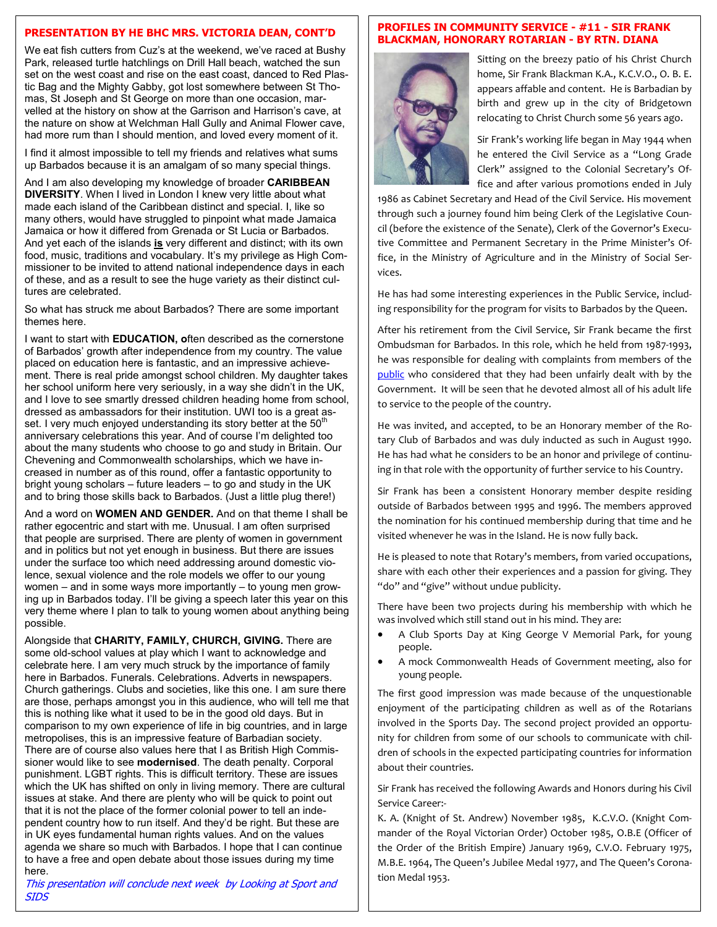### PRESENTATION BY HE BHC MRS. VICTORIA DEAN, CONT'D

We eat fish cutters from Cuz's at the weekend, we've raced at Bushy Park, released turtle hatchlings on Drill Hall beach, watched the sun set on the west coast and rise on the east coast, danced to Red Plastic Bag and the Mighty Gabby, got lost somewhere between St Thomas, St Joseph and St George on more than one occasion, marvelled at the history on show at the Garrison and Harrison's cave, at the nature on show at Welchman Hall Gully and Animal Flower cave, had more rum than I should mention, and loved every moment of it.

I find it almost impossible to tell my friends and relatives what sums up Barbados because it is an amalgam of so many special things.

And I am also developing my knowledge of broader **CARIBBEAN** DIVERSITY. When I lived in London I knew very little about what made each island of the Caribbean distinct and special. I, like so many others, would have struggled to pinpoint what made Jamaica Jamaica or how it differed from Grenada or St Lucia or Barbados. And yet each of the islands is very different and distinct; with its own food, music, traditions and vocabulary. It's my privilege as High Commissioner to be invited to attend national independence days in each of these, and as a result to see the huge variety as their distinct cultures are celebrated.

So what has struck me about Barbados? There are some important themes here.

I want to start with **EDUCATION**, often described as the cornerstone of Barbados' growth after independence from my country. The value placed on education here is fantastic, and an impressive achievement. There is real pride amongst school children. My daughter takes her school uniform here very seriously, in a way she didn't in the UK, and I love to see smartly dressed children heading home from school, dressed as ambassadors for their institution. UWI too is a great asset. I very much enjoyed understanding its story better at the  $50<sup>th</sup>$ anniversary celebrations this year. And of course I'm delighted too about the many students who choose to go and study in Britain. Our Chevening and Commonwealth scholarships, which we have increased in number as of this round, offer a fantastic opportunity to bright young scholars – future leaders – to go and study in the UK and to bring those skills back to Barbados. (Just a little plug there!)

And a word on **WOMEN AND GENDER**. And on that theme I shall be rather egocentric and start with me. Unusual. I am often surprised that people are surprised. There are plenty of women in government and in politics but not yet enough in business. But there are issues under the surface too which need addressing around domestic violence, sexual violence and the role models we offer to our young women – and in some ways more importantly – to young men growing up in Barbados today. I'll be giving a speech later this year on this very theme where I plan to talk to young women about anything being possible.

Alongside that CHARITY, FAMILY, CHURCH, GIVING. There are some old-school values at play which I want to acknowledge and celebrate here. I am very much struck by the importance of family here in Barbados. Funerals. Celebrations. Adverts in newspapers. Church gatherings. Clubs and societies, like this one. I am sure there are those, perhaps amongst you in this audience, who will tell me that this is nothing like what it used to be in the good old days. But in comparison to my own experience of life in big countries, and in large metropolises, this is an impressive feature of Barbadian society. There are of course also values here that I as British High Commissioner would like to see modernised. The death penalty. Corporal punishment. LGBT rights. This is difficult territory. These are issues which the UK has shifted on only in living memory. There are cultural issues at stake. And there are plenty who will be quick to point out that it is not the place of the former colonial power to tell an independent country how to run itself. And they'd be right. But these are in UK eyes fundamental human rights values. And on the values agenda we share so much with Barbados. I hope that I can continue to have a free and open debate about those issues during my time here.

**SIDS** 

## This presentation will conclude next week by Looking at Sport and

### PROFILES IN COMMUNITY SERVICE - #11 - SIR FRANK BLACKMAN, HONORARY ROTARIAN - BY RTN. DIANA



Sitting on the breezy patio of his Christ Church home, Sir Frank Blackman K.A., K.C.V.O., O. B. E. appears affable and content. He is Barbadian by birth and grew up in the city of Bridgetown relocating to Christ Church some 56 years ago.

Sir Frank's working life began in May 1944 when he entered the Civil Service as a "Long Grade Clerk" assigned to the Colonial Secretary's Office and after various promotions ended in July

1986 as Cabinet Secretary and Head of the Civil Service. His movement through such a journey found him being Clerk of the Legislative Council (before the existence of the Senate), Clerk of the Governor's Executive Committee and Permanent Secretary in the Prime Minister's Office, in the Ministry of Agriculture and in the Ministry of Social Services.

He has had some interesting experiences in the Public Service, including responsibility for the program for visits to Barbados by the Queen.

After his retirement from the Civil Service, Sir Frank became the first Ombudsman for Barbados. In this role, which he held from 1987-1993, he was responsible for dealing with complaints from members of the public who considered that they had been unfairly dealt with by the Government. It will be seen that he devoted almost all of his adult life to service to the people of the country.

He was invited, and accepted, to be an Honorary member of the Rotary Club of Barbados and was duly inducted as such in August 1990. He has had what he considers to be an honor and privilege of continuing in that role with the opportunity of further service to his Country.

Sir Frank has been a consistent Honorary member despite residing outside of Barbados between 1995 and 1996. The members approved the nomination for his continued membership during that time and he visited whenever he was in the Island. He is now fully back.

He is pleased to note that Rotary's members, from varied occupations, share with each other their experiences and a passion for giving. They "do" and "give" without undue publicity.

There have been two projects during his membership with which he was involved which still stand out in his mind. They are:

- A Club Sports Day at King George V Memorial Park, for young people.
- A mock Commonwealth Heads of Government meeting, also for young people.

The first good impression was made because of the unquestionable enjoyment of the participating children as well as of the Rotarians involved in the Sports Day. The second project provided an opportunity for children from some of our schools to communicate with children of schools in the expected participating countries for information about their countries.

Sir Frank has received the following Awards and Honors during his Civil Service Career:-

K. A. (Knight of St. Andrew) November 1985, K.C.V.O. (Knight Commander of the Royal Victorian Order) October 1985, O.B.E (Officer of the Order of the British Empire) January 1969, C.V.O. February 1975, M.B.E. 1964, The Queen's Jubilee Medal 1977, and The Queen's Coronation Medal 1953.